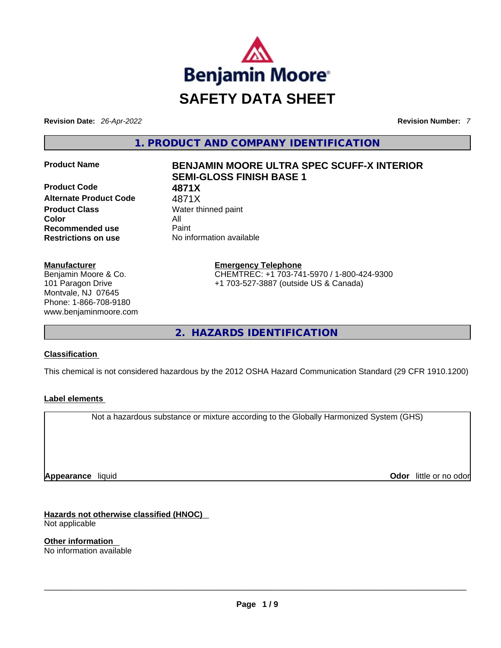

**Revision Date:** *26-Apr-2022* **Revision Number:** *7*

**1. PRODUCT AND COMPANY IDENTIFICATION** 

**Product Code 4871X**  Alternate Product Code 4871X **Product Class Water thinned paint Color** All **Recommended use Paint Restrictions on use** No information available

# **Manufacturer**

Benjamin Moore & Co. 101 Paragon Drive Montvale, NJ 07645 Phone: 1-866-708-9180 www.benjaminmoore.com

# **Product Name BENJAMIN MOORE ULTRA SPEC SCUFF-X INTERIOR SEMI-GLOSS FINISH BASE 1**

**Emergency Telephone** CHEMTREC: +1 703-741-5970 / 1-800-424-9300 +1 703-527-3887 (outside US & Canada)

**2. HAZARDS IDENTIFICATION** 

# **Classification**

This chemical is not considered hazardous by the 2012 OSHA Hazard Communication Standard (29 CFR 1910.1200)

# **Label elements**

Not a hazardous substance or mixture according to the Globally Harmonized System (GHS)

**Appearance** liquid

**Odor** little or no odor

**Hazards not otherwise classified (HNOC)**  Not applicable

**Other information**  No information available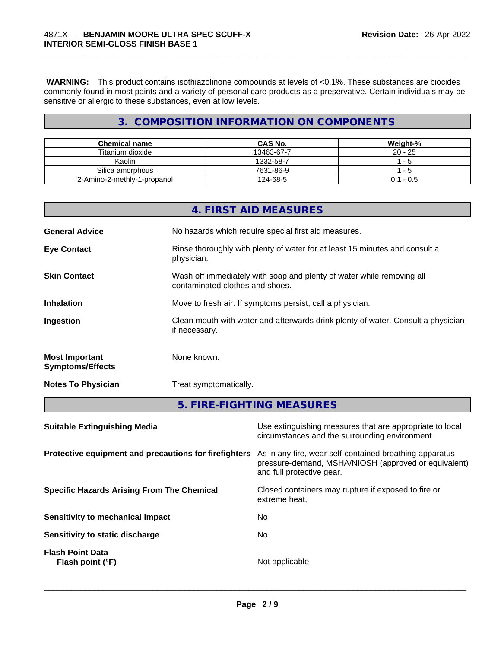**WARNING:** This product contains isothiazolinone compounds at levels of <0.1%. These substances are biocides commonly found in most paints and a variety of personal care products as a preservative. Certain individuals may be sensitive or allergic to these substances, even at low levels.

# **3. COMPOSITION INFORMATION ON COMPONENTS**

| <b>Chemical name</b>        | <b>CAS No.</b> | Weight-%    |
|-----------------------------|----------------|-------------|
| Titanium dioxide            | 13463-67-7     | $20 - 25$   |
| Kaolin                      | 1332-58-7      | $-5$        |
| Silica amorphous            | 7631-86-9      | - 5         |
| 2-Amino-2-methly-1-propanol | 124-68-5       | $0.1 - 0.5$ |

|                                                  | 4. FIRST AID MEASURES                                                                                    |
|--------------------------------------------------|----------------------------------------------------------------------------------------------------------|
| <b>General Advice</b>                            | No hazards which require special first aid measures.                                                     |
| <b>Eye Contact</b>                               | Rinse thoroughly with plenty of water for at least 15 minutes and consult a<br>physician.                |
| <b>Skin Contact</b>                              | Wash off immediately with soap and plenty of water while removing all<br>contaminated clothes and shoes. |
| <b>Inhalation</b>                                | Move to fresh air. If symptoms persist, call a physician.                                                |
| Ingestion                                        | Clean mouth with water and afterwards drink plenty of water. Consult a physician<br>if necessary.        |
| <b>Most Important</b><br><b>Symptoms/Effects</b> | None known.                                                                                              |
| <b>Notes To Physician</b>                        | Treat symptomatically.                                                                                   |
|                                                  | 5. FIRE-FIGHTING MEASURES                                                                                |

| <b>Suitable Extinguishing Media</b>                   | Use extinguishing measures that are appropriate to local<br>circumstances and the surrounding environment.                                   |
|-------------------------------------------------------|----------------------------------------------------------------------------------------------------------------------------------------------|
| Protective equipment and precautions for firefighters | As in any fire, wear self-contained breathing apparatus<br>pressure-demand, MSHA/NIOSH (approved or equivalent)<br>and full protective gear. |
| <b>Specific Hazards Arising From The Chemical</b>     | Closed containers may rupture if exposed to fire or<br>extreme heat.                                                                         |
| <b>Sensitivity to mechanical impact</b>               | No                                                                                                                                           |
| Sensitivity to static discharge                       | No.                                                                                                                                          |
| <b>Flash Point Data</b><br>Flash point (°F)           | Not applicable                                                                                                                               |
|                                                       |                                                                                                                                              |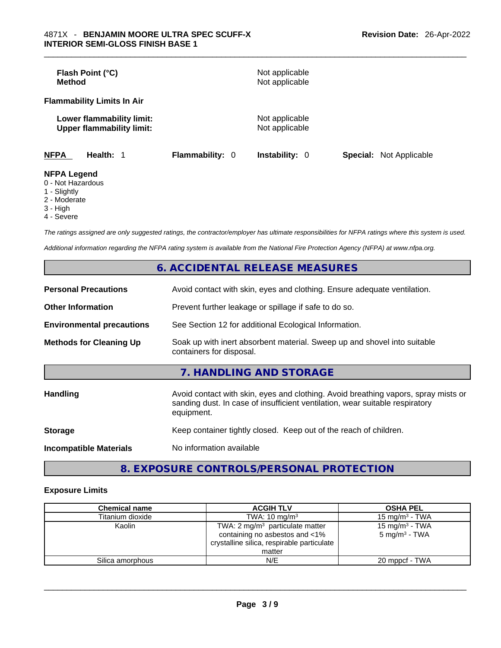| Flash Point (°C)<br><b>Method</b>                             |                        | Not applicable<br>Not applicable |                                |
|---------------------------------------------------------------|------------------------|----------------------------------|--------------------------------|
| <b>Flammability Limits In Air</b>                             |                        |                                  |                                |
| Lower flammability limit:<br><b>Upper flammability limit:</b> |                        | Not applicable<br>Not applicable |                                |
| <b>NFPA</b><br>Health: 1                                      | <b>Flammability: 0</b> | <b>Instability: 0</b>            | <b>Special:</b> Not Applicable |
| <b>NFPA Legend</b><br>0 - Not Hazardous                       |                        |                                  |                                |

- 
- 1 Slightly
- 2 Moderate
- 3 High
- 4 Severe

*The ratings assigned are only suggested ratings, the contractor/employer has ultimate responsibilities for NFPA ratings where this system is used.* 

*Additional information regarding the NFPA rating system is available from the National Fire Protection Agency (NFPA) at www.nfpa.org.* 

|                                  | <b>6. ACCIDENTAL RELEASE MEASURES</b>                                                                                                                                            |  |
|----------------------------------|----------------------------------------------------------------------------------------------------------------------------------------------------------------------------------|--|
| <b>Personal Precautions</b>      | Avoid contact with skin, eyes and clothing. Ensure adequate ventilation.                                                                                                         |  |
| <b>Other Information</b>         | Prevent further leakage or spillage if safe to do so.                                                                                                                            |  |
| <b>Environmental precautions</b> | See Section 12 for additional Ecological Information.                                                                                                                            |  |
| <b>Methods for Cleaning Up</b>   | Soak up with inert absorbent material. Sweep up and shovel into suitable<br>containers for disposal.                                                                             |  |
|                                  | 7. HANDLING AND STORAGE                                                                                                                                                          |  |
| <b>Handling</b>                  | Avoid contact with skin, eyes and clothing. Avoid breathing vapors, spray mists or<br>sanding dust. In case of insufficient ventilation, wear suitable respiratory<br>equipment. |  |
| <b>Storage</b>                   | Keep container tightly closed. Keep out of the reach of children.                                                                                                                |  |
| <b>Incompatible Materials</b>    | No information available                                                                                                                                                         |  |
|                                  |                                                                                                                                                                                  |  |

# **8. EXPOSURE CONTROLS/PERSONAL PROTECTION**

# **Exposure Limits**

| <b>Chemical name</b> | <b>ACGIH TLV</b>                                                                                                                     | <b>OSHA PEL</b>                                        |
|----------------------|--------------------------------------------------------------------------------------------------------------------------------------|--------------------------------------------------------|
| Titanium dioxide     | TWA: $10 \text{ mg/m}^3$                                                                                                             | 15 mg/m $3$ - TWA                                      |
| Kaolin               | TWA: $2 \text{ mg/m}^3$ particulate matter<br>containing no asbestos and <1%<br>crystalline silica, respirable particulate<br>matter | 15 mg/m <sup>3</sup> - TWA<br>$5 \text{ mg/m}^3$ - TWA |
| Silica amorphous     | N/E                                                                                                                                  | 20 mppcf - TWA                                         |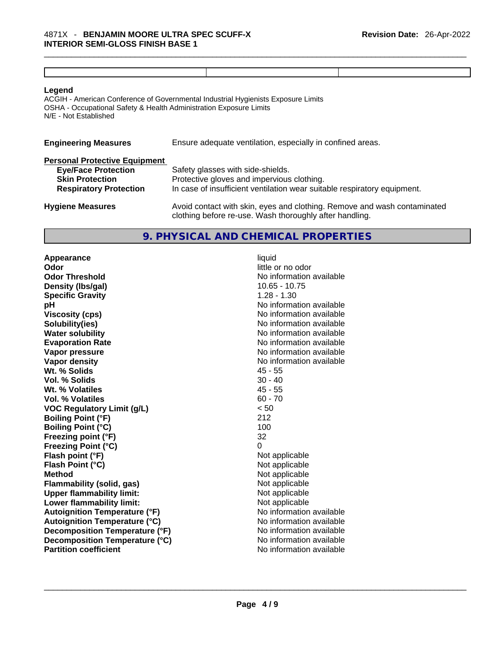ACGIH - American Conference of Governmental Industrial Hygienists Exposure Limits OSHA - Occupational Safety & Health Administration Exposure Limits N/E - Not Established

| <b>Engineering Measures</b>          | Ensure adequate ventilation, especially in confined areas.                                                                          |  |
|--------------------------------------|-------------------------------------------------------------------------------------------------------------------------------------|--|
| <b>Personal Protective Equipment</b> |                                                                                                                                     |  |
| <b>Eye/Face Protection</b>           | Safety glasses with side-shields.                                                                                                   |  |
| <b>Skin Protection</b>               | Protective gloves and impervious clothing.                                                                                          |  |
| <b>Respiratory Protection</b>        | In case of insufficient ventilation wear suitable respiratory equipment.                                                            |  |
| <b>Hygiene Measures</b>              | Avoid contact with skin, eyes and clothing. Remove and wash contaminated<br>clothing before re-use. Wash thoroughly after handling. |  |

# **9. PHYSICAL AND CHEMICAL PROPERTIES**

**Appearance liquid**<br> **Odor** little c **Odor Threshold No information available No information available Density (lbs/gal)** 10.65 - 10.75 **Specific Gravity** 1.28 - 1.30 **pH** No information available **Viscosity (cps) Viscosity (cps) No information available Solubility(ies)** No information available **Water solubility Water solubility No information available Evaporation Rate No information available No information available Vapor pressure**  No information available **Vapor pressure No information available Vapor density**<br> **We Solids**<br>
We Solids
2018 Wt. % Solids **Vol. % Solids** 30 - 40 **Wt. % Volatiles** 45 - 55 **Vol. % Volatiles** 60 - 70 **VOC Regulatory Limit (g/L)**  $\leq 50$ <br> **Boiling Point (°F)** 212 **Boiling Point (°F) Boiling Point (°C)** 100 **Freezing point (°F)** 32 **Freezing Point (°C)** 0 **Flash point (°F)** Not applicable **Flash Point (°C)** Not applicable **Method** Not applicable<br> **Elammability (solid. gas)** Not applicable Not applicable **Flammability** (solid, gas) **Upper flammability limit:** Not applicable **Lower flammability limit:** Not applicable **Autoignition Temperature (°F)** No information available **Autoignition Temperature (°C)** No information available **Decomposition Temperature (°F)** No information available **Decomposition Temperature (°C)** No information available<br> **Partition coefficient Partition available Partition coefficient**No information available \_\_\_\_\_\_\_\_\_\_\_\_\_\_\_\_\_\_\_\_\_\_\_\_\_\_\_\_\_\_\_\_\_\_\_\_\_\_\_\_\_\_\_\_\_\_\_\_\_\_\_\_\_\_\_\_\_\_\_\_\_\_\_\_\_\_\_\_\_\_\_\_\_\_\_\_\_\_\_\_\_\_\_\_\_\_\_\_\_\_\_\_\_

little or no odor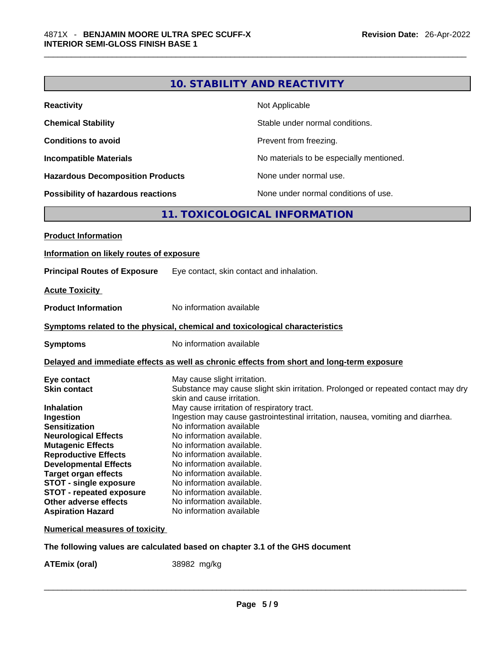| <b>Reactivity</b>                         | Not Applicable                           |
|-------------------------------------------|------------------------------------------|
| <b>Chemical Stability</b>                 | Stable under normal conditions.          |
| <b>Conditions to avoid</b>                | Prevent from freezing.                   |
| <b>Incompatible Materials</b>             | No materials to be especially mentioned. |
| <b>Hazardous Decomposition Products</b>   | None under normal use.                   |
| <b>Possibility of hazardous reactions</b> | None under normal conditions of use.     |

# **11. TOXICOLOGICAL INFORMATION**

| <b>Product Information</b>                                                                                                                                                                                                                                                                                                                                                     |                                                                                                                                                                                                                                                                                                                                                                                                                                                                                                                                                                                  |  |
|--------------------------------------------------------------------------------------------------------------------------------------------------------------------------------------------------------------------------------------------------------------------------------------------------------------------------------------------------------------------------------|----------------------------------------------------------------------------------------------------------------------------------------------------------------------------------------------------------------------------------------------------------------------------------------------------------------------------------------------------------------------------------------------------------------------------------------------------------------------------------------------------------------------------------------------------------------------------------|--|
| Information on likely routes of exposure                                                                                                                                                                                                                                                                                                                                       |                                                                                                                                                                                                                                                                                                                                                                                                                                                                                                                                                                                  |  |
| <b>Principal Routes of Exposure</b>                                                                                                                                                                                                                                                                                                                                            | Eye contact, skin contact and inhalation.                                                                                                                                                                                                                                                                                                                                                                                                                                                                                                                                        |  |
| <b>Acute Toxicity</b>                                                                                                                                                                                                                                                                                                                                                          |                                                                                                                                                                                                                                                                                                                                                                                                                                                                                                                                                                                  |  |
| <b>Product Information</b>                                                                                                                                                                                                                                                                                                                                                     | No information available                                                                                                                                                                                                                                                                                                                                                                                                                                                                                                                                                         |  |
|                                                                                                                                                                                                                                                                                                                                                                                | Symptoms related to the physical, chemical and toxicological characteristics                                                                                                                                                                                                                                                                                                                                                                                                                                                                                                     |  |
| <b>Symptoms</b>                                                                                                                                                                                                                                                                                                                                                                | No information available                                                                                                                                                                                                                                                                                                                                                                                                                                                                                                                                                         |  |
|                                                                                                                                                                                                                                                                                                                                                                                | Delayed and immediate effects as well as chronic effects from short and long-term exposure                                                                                                                                                                                                                                                                                                                                                                                                                                                                                       |  |
| Eye contact<br><b>Skin contact</b><br><b>Inhalation</b><br>Ingestion<br><b>Sensitization</b><br><b>Neurological Effects</b><br><b>Mutagenic Effects</b><br><b>Reproductive Effects</b><br><b>Developmental Effects</b><br><b>Target organ effects</b><br><b>STOT - single exposure</b><br><b>STOT - repeated exposure</b><br>Other adverse effects<br><b>Aspiration Hazard</b> | May cause slight irritation.<br>Substance may cause slight skin irritation. Prolonged or repeated contact may dry<br>skin and cause irritation.<br>May cause irritation of respiratory tract.<br>Ingestion may cause gastrointestinal irritation, nausea, vomiting and diarrhea.<br>No information available<br>No information available.<br>No information available.<br>No information available.<br>No information available.<br>No information available.<br>No information available.<br>No information available.<br>No information available.<br>No information available |  |

**Numerical measures of toxicity**

**The following values are calculated based on chapter 3.1 of the GHS document**

**ATEmix (oral)** 38982 mg/kg \_\_\_\_\_\_\_\_\_\_\_\_\_\_\_\_\_\_\_\_\_\_\_\_\_\_\_\_\_\_\_\_\_\_\_\_\_\_\_\_\_\_\_\_\_\_\_\_\_\_\_\_\_\_\_\_\_\_\_\_\_\_\_\_\_\_\_\_\_\_\_\_\_\_\_\_\_\_\_\_\_\_\_\_\_\_\_\_\_\_\_\_\_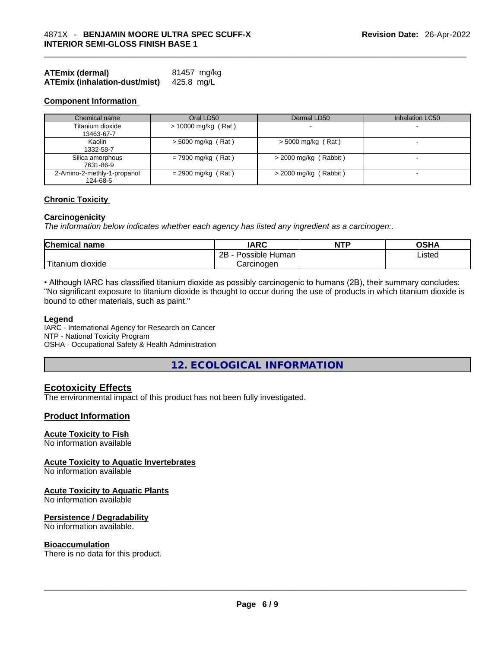| <b>ATEmix (dermal)</b>               | 81457 mg/kg |
|--------------------------------------|-------------|
| <b>ATEmix (inhalation-dust/mist)</b> | 425.8 mg/L  |

### **Component Information**

| Chemical name                           | Oral LD50             | Dermal LD50             | Inhalation LC50          |
|-----------------------------------------|-----------------------|-------------------------|--------------------------|
| Titanium dioxide                        | $> 10000$ mg/kg (Rat) |                         |                          |
| 13463-67-7                              |                       |                         |                          |
| Kaolin<br>1332-58-7                     | $>$ 5000 mg/kg (Rat)  | $>$ 5000 mg/kg (Rat)    | $\overline{\phantom{0}}$ |
| Silica amorphous<br>7631-86-9           | $= 7900$ mg/kg (Rat)  | $>$ 2000 mg/kg (Rabbit) | $\overline{\phantom{0}}$ |
| 2-Amino-2-methly-1-propanol<br>124-68-5 | $= 2900$ mg/kg (Rat)  | $>$ 2000 mg/kg (Rabbit) |                          |

# **Chronic Toxicity**

#### **Carcinogenicity**

*The information below indicates whether each agency has listed any ingredient as a carcinogen:.* 

| <b>Chemical name</b>  | IARC                 | <b>NTP</b> | OSHA   |
|-----------------------|----------------------|------------|--------|
|                       | 2B<br>Possible Human |            | Listed |
| Titanium 、<br>dioxide | Carcinogen           |            |        |

• Although IARC has classified titanium dioxide as possibly carcinogenic to humans (2B), their summary concludes: "No significant exposure to titanium dioxide is thought to occur during the use of products in which titanium dioxide is bound to other materials, such as paint."

#### **Legend**

IARC - International Agency for Research on Cancer NTP - National Toxicity Program OSHA - Occupational Safety & Health Administration

**12. ECOLOGICAL INFORMATION** 

# **Ecotoxicity Effects**

The environmental impact of this product has not been fully investigated.

# **Product Information**

### **Acute Toxicity to Fish**

No information available

#### **Acute Toxicity to Aquatic Invertebrates**

No information available

### **Acute Toxicity to Aquatic Plants**

No information available

#### **Persistence / Degradability**

No information available.

**Bioaccumulation**<br>There is no data for this product. There is no data for this product. \_\_\_\_\_\_\_\_\_\_\_\_\_\_\_\_\_\_\_\_\_\_\_\_\_\_\_\_\_\_\_\_\_\_\_\_\_\_\_\_\_\_\_\_\_\_\_\_\_\_\_\_\_\_\_\_\_\_\_\_\_\_\_\_\_\_\_\_\_\_\_\_\_\_\_\_\_\_\_\_\_\_\_\_\_\_\_\_\_\_\_\_\_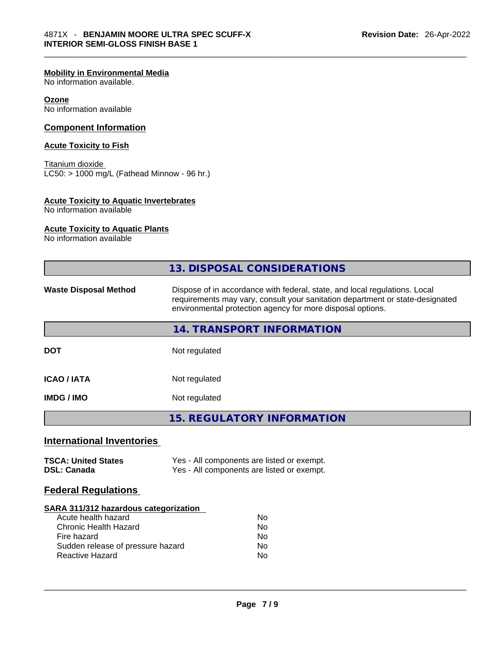# **Mobility in Environmental Media**

No information available.

# **Ozone**

No information available

# **Component Information**

# **Acute Toxicity to Fish**

Titanium dioxide  $LC50:$  > 1000 mg/L (Fathead Minnow - 96 hr.)

# **Acute Toxicity to Aquatic Invertebrates**

No information available

# **Acute Toxicity to Aquatic Plants**

No information available

| 13. DISPOSAL CONSIDERATIONS<br>Dispose of in accordance with federal, state, and local regulations. Local<br>requirements may vary, consult your sanitation department or state-designated<br>environmental protection agency for more disposal options.<br>14. TRANSPORT INFORMATION<br>Not regulated<br>Not regulated<br>Not regulated<br><b>15. REGULATORY INFORMATION</b><br>Yes - All components are listed or exempt.<br>Yes - All components are listed or exempt.<br>SARA 311/312 hazardous categorization<br>Acute health hazard<br><b>No</b><br><b>Chronic Health Hazard</b><br><b>No</b><br>Fire hazard<br>No<br>Sudden release of pressure hazard<br>No.<br>Reactive Hazard<br>No |                                                  |  |  |
|-----------------------------------------------------------------------------------------------------------------------------------------------------------------------------------------------------------------------------------------------------------------------------------------------------------------------------------------------------------------------------------------------------------------------------------------------------------------------------------------------------------------------------------------------------------------------------------------------------------------------------------------------------------------------------------------------|--------------------------------------------------|--|--|
|                                                                                                                                                                                                                                                                                                                                                                                                                                                                                                                                                                                                                                                                                               |                                                  |  |  |
|                                                                                                                                                                                                                                                                                                                                                                                                                                                                                                                                                                                                                                                                                               | <b>Waste Disposal Method</b>                     |  |  |
|                                                                                                                                                                                                                                                                                                                                                                                                                                                                                                                                                                                                                                                                                               |                                                  |  |  |
|                                                                                                                                                                                                                                                                                                                                                                                                                                                                                                                                                                                                                                                                                               | <b>DOT</b>                                       |  |  |
|                                                                                                                                                                                                                                                                                                                                                                                                                                                                                                                                                                                                                                                                                               | <b>ICAO / IATA</b>                               |  |  |
|                                                                                                                                                                                                                                                                                                                                                                                                                                                                                                                                                                                                                                                                                               | <b>IMDG / IMO</b>                                |  |  |
|                                                                                                                                                                                                                                                                                                                                                                                                                                                                                                                                                                                                                                                                                               |                                                  |  |  |
|                                                                                                                                                                                                                                                                                                                                                                                                                                                                                                                                                                                                                                                                                               | <b>International Inventories</b>                 |  |  |
|                                                                                                                                                                                                                                                                                                                                                                                                                                                                                                                                                                                                                                                                                               | <b>TSCA: United States</b><br><b>DSL: Canada</b> |  |  |
|                                                                                                                                                                                                                                                                                                                                                                                                                                                                                                                                                                                                                                                                                               | <b>Federal Regulations</b>                       |  |  |
|                                                                                                                                                                                                                                                                                                                                                                                                                                                                                                                                                                                                                                                                                               |                                                  |  |  |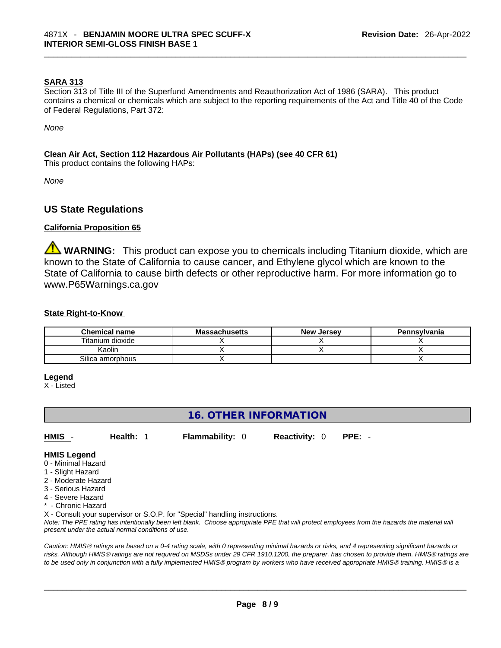# **SARA 313**

Section 313 of Title III of the Superfund Amendments and Reauthorization Act of 1986 (SARA). This product contains a chemical or chemicals which are subject to the reporting requirements of the Act and Title 40 of the Code of Federal Regulations, Part 372:

*None*

# **Clean Air Act,Section 112 Hazardous Air Pollutants (HAPs) (see 40 CFR 61)**

This product contains the following HAPs:

*None*

# **US State Regulations**

# **California Proposition 65**

**WARNING:** This product can expose you to chemicals including Titanium dioxide, which are known to the State of California to cause cancer, and Ethylene glycol which are known to the State of California to cause birth defects or other reproductive harm. For more information go to www.P65Warnings.ca.gov

# **State Right-to-Know**

| <b>Chemical name</b> | <b>Massachusetts</b> | <b>New Jersey</b> | Pennsvlvania |
|----------------------|----------------------|-------------------|--------------|
| Titanium dioxide     |                      |                   |              |
| Kaolin               |                      |                   |              |
| Silica amorphous     |                      |                   |              |

#### **Legend**

X - Listed

# **16. OTHER INFORMATION**

**HMIS** - **Health:** 1 **Flammability:** 0 **Reactivity:** 0 **PPE:** -

## **HMIS Legend**

- 0 Minimal Hazard
- 1 Slight Hazard
- 2 Moderate Hazard
- 3 Serious Hazard
- 4 Severe Hazard
- Chronic Hazard

X - Consult your supervisor or S.O.P. for "Special" handling instructions.

Note: The PPE rating has intentionally been left blank. Choose appropriate PPE that will protect employees from the hazards the material will *present under the actual normal conditions of use.* 

*Caution: HMISÒ ratings are based on a 0-4 rating scale, with 0 representing minimal hazards or risks, and 4 representing significant hazards or risks. Although HMISÒ ratings are not required on MSDSs under 29 CFR 1910.1200, the preparer, has chosen to provide them. HMISÒ ratings are to be used only in conjunction with a fully implemented HMISÒ program by workers who have received appropriate HMISÒ training. HMISÒ is a*